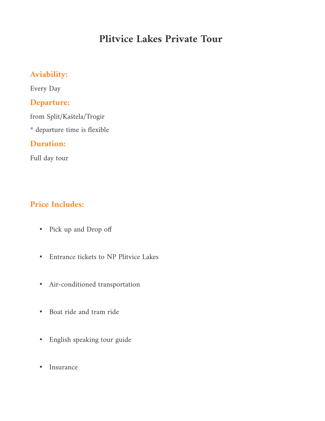# **Plitvice Lakes Private Tour**

# **Aviability:**

Every Day

## **Departure:**

from Split/Kaštela/Trogir

\* departure time is flexible

# **Duration:**

Full day tour

# **Price Includes:**

- Pick up and Drop off
- Entrance tickets to NP Plitvice Lakes
- Air-conditioned transportation
- Boat ride and tram ride
- English speaking tour guide
- Insurance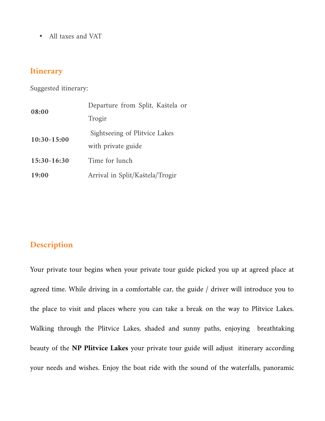• All taxes and VAT

## **Itinerary**

Suggested itinerary:

| 08:00         | Departure from Split, Kaštela or |  |  |  |  |  |
|---------------|----------------------------------|--|--|--|--|--|
|               | Trogir                           |  |  |  |  |  |
| $10:30-15:00$ | Sightseeing of Plitvice Lakes    |  |  |  |  |  |
|               | with private guide               |  |  |  |  |  |
| $15:30-16:30$ | Time for lunch                   |  |  |  |  |  |
| 19:00         | Arrival in Split/Kaštela/Trogir  |  |  |  |  |  |

## **Description**

Your private tour begins when your private tour guide picked you up at agreed place at agreed time. While driving in a comfortable car, the guide / driver will introduce you to the place to visit and places where you can take a break on the way to Plitvice Lakes. Walking through the Plitvice Lakes, shaded and sunny paths, enjoying breathtaking beauty of the **NP Plitvice Lakes** your private tour guide will adjust itinerary according your needs and wishes. Enjoy the boat ride with the sound of the waterfalls, panoramic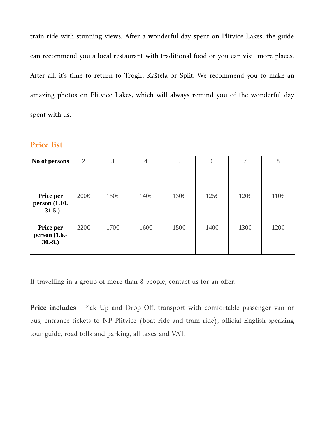train ride with stunning views. After a wonderful day spent on Plitvice Lakes, the guide can recommend you a local restaurant with traditional food or you can visit more places. After all, it's time to return to Trogir, Kaštela or Split. We recommend you to make an amazing photos on Plitvice Lakes, which will always remind you of the wonderful day spent with us.

#### **Price list**

| No of persons                                  | 2    | 3    | $\overline{4}$ | 5    | 6    | 7    | 8    |
|------------------------------------------------|------|------|----------------|------|------|------|------|
| <b>Price per</b><br>person (1.10.<br>$-31.5.)$ | 200€ | 150€ | 140€           | 130€ | 125€ | 120€ | 110€ |
| <b>Price per</b><br>person (1.6.-<br>$30.-9.)$ | 220€ | 170€ | 160€           | 150€ | 140€ | 130€ | 120€ |

If travelling in a group of more than 8 people, contact us for an offer.

**Price includes** : Pick Up and Drop Off, transport with comfortable passenger van or bus, entrance tickets to NP Plitvice (boat ride and tram ride), official English speaking tour guide, road tolls and parking, all taxes and VAT.